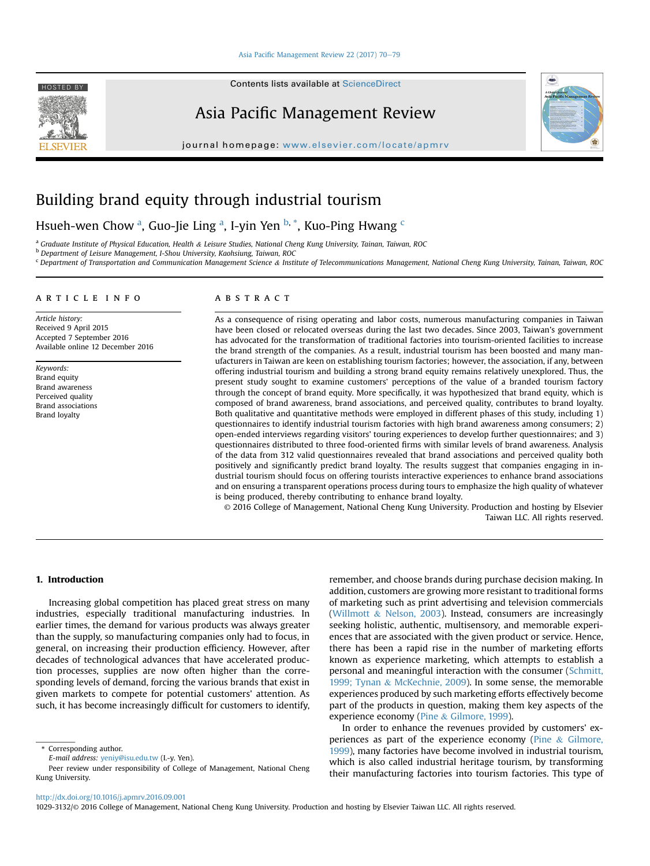#### Asia Pacific Management Review 22 (2017) 70-79

HOSTED BY Contents lists available at ScienceDirect

## Asia Pacific Management Review

journal homepage: www.elsevier.com/locate/apmrv



# Building brand equity through industrial tourism

Hsueh-wen Chow <sup>a</sup>, Guo-Jie Ling <sup>a</sup>, I-yin Yen <sup>b,</sup> \*, Kuo-Ping Hwang <sup>c</sup>

a Graduate Institute of Physical Education, Health & Leisure Studies, National Cheng Kung University, Tainan, Taiwan, ROC

<sup>b</sup> Department of Leisure Management, I-Shou University, Kaohsiung, Taiwan, ROC

<sup>c</sup> Department of Transportation and Communication Management Science & Institute of Telecommunications Management, National Cheng Kung University, Tainan, Taiwan, ROC

## article info

Article history: Received 9 April 2015 Accepted 7 September 2016 Available online 12 December 2016

Keywords: Brand equity Brand awareness Perceived quality Brand associations Brand loyalty

## **ABSTRACT**

As a consequence of rising operating and labor costs, numerous manufacturing companies in Taiwan have been closed or relocated overseas during the last two decades. Since 2003, Taiwan's government has advocated for the transformation of traditional factories into tourism-oriented facilities to increase the brand strength of the companies. As a result, industrial tourism has been boosted and many manufacturers in Taiwan are keen on establishing tourism factories; however, the association, if any, between offering industrial tourism and building a strong brand equity remains relatively unexplored. Thus, the present study sought to examine customers' perceptions of the value of a branded tourism factory through the concept of brand equity. More specifically, it was hypothesized that brand equity, which is composed of brand awareness, brand associations, and perceived quality, contributes to brand loyalty. Both qualitative and quantitative methods were employed in different phases of this study, including 1) questionnaires to identify industrial tourism factories with high brand awareness among consumers; 2) open-ended interviews regarding visitors' touring experiences to develop further questionnaires; and 3) questionnaires distributed to three food-oriented firms with similar levels of brand awareness. Analysis of the data from 312 valid questionnaires revealed that brand associations and perceived quality both positively and significantly predict brand loyalty. The results suggest that companies engaging in industrial tourism should focus on offering tourists interactive experiences to enhance brand associations and on ensuring a transparent operations process during tours to emphasize the high quality of whatever is being produced, thereby contributing to enhance brand loyalty.

© 2016 College of Management, National Cheng Kung University. Production and hosting by Elsevier Taiwan LLC. All rights reserved.

## 1. Introduction

Increasing global competition has placed great stress on many industries, especially traditional manufacturing industries. In earlier times, the demand for various products was always greater than the supply, so manufacturing companies only had to focus, in general, on increasing their production efficiency. However, after decades of technological advances that have accelerated production processes, supplies are now often higher than the corresponding levels of demand, forcing the various brands that exist in given markets to compete for potential customers' attention. As such, it has become increasingly difficult for customers to identify,

E-mail address: yeniy@isu.edu.tw (I.-y. Yen).

remember, and choose brands during purchase decision making. In addition, customers are growing more resistant to traditional forms of marketing such as print advertising and television commercials (Willmott & Nelson, 2003). Instead, consumers are increasingly seeking holistic, authentic, multisensory, and memorable experiences that are associated with the given product or service. Hence, there has been a rapid rise in the number of marketing efforts known as experience marketing, which attempts to establish a personal and meaningful interaction with the consumer (Schmitt, 1999; Tynan & McKechnie, 2009). In some sense, the memorable experiences produced by such marketing efforts effectively become part of the products in question, making them key aspects of the experience economy (Pine & Gilmore, 1999).

In order to enhance the revenues provided by customers' experiences as part of the experience economy (Pine  $&$  Gilmore, 1999), many factories have become involved in industrial tourism, which is also called industrial heritage tourism, by transforming their manufacturing factories into tourism factories. This type of

http://dx.doi.org/10.1016/j.apmrv.2016.09.001

1029-3132/© 2016 College of Management, National Cheng Kung University. Production and hosting by Elsevier Taiwan LLC. All rights reserved.



<sup>\*</sup> Corresponding author.

Peer review under responsibility of College of Management, National Cheng Kung University.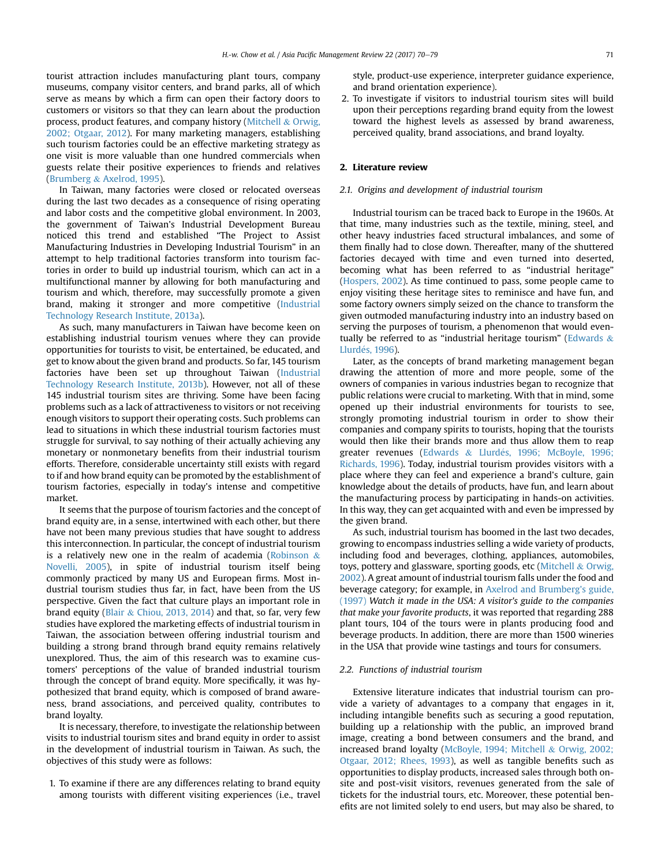tourist attraction includes manufacturing plant tours, company museums, company visitor centers, and brand parks, all of which serve as means by which a firm can open their factory doors to customers or visitors so that they can learn about the production process, product features, and company history (Mitchell & Orwig, 2002; Otgaar, 2012). For many marketing managers, establishing such tourism factories could be an effective marketing strategy as one visit is more valuable than one hundred commercials when guests relate their positive experiences to friends and relatives (Brumberg & Axelrod, 1995).

In Taiwan, many factories were closed or relocated overseas during the last two decades as a consequence of rising operating and labor costs and the competitive global environment. In 2003, the government of Taiwan's Industrial Development Bureau noticed this trend and established "The Project to Assist Manufacturing Industries in Developing Industrial Tourism" in an attempt to help traditional factories transform into tourism factories in order to build up industrial tourism, which can act in a multifunctional manner by allowing for both manufacturing and tourism and which, therefore, may successfully promote a given brand, making it stronger and more competitive (Industrial Technology Research Institute, 2013a).

As such, many manufacturers in Taiwan have become keen on establishing industrial tourism venues where they can provide opportunities for tourists to visit, be entertained, be educated, and get to know about the given brand and products. So far, 145 tourism factories have been set up throughout Taiwan (Industrial Technology Research Institute, 2013b). However, not all of these 145 industrial tourism sites are thriving. Some have been facing problems such as a lack of attractiveness to visitors or not receiving enough visitors to support their operating costs. Such problems can lead to situations in which these industrial tourism factories must struggle for survival, to say nothing of their actually achieving any monetary or nonmonetary benefits from their industrial tourism efforts. Therefore, considerable uncertainty still exists with regard to if and how brand equity can be promoted by the establishment of tourism factories, especially in today's intense and competitive market.

It seems that the purpose of tourism factories and the concept of brand equity are, in a sense, intertwined with each other, but there have not been many previous studies that have sought to address this interconnection. In particular, the concept of industrial tourism is a relatively new one in the realm of academia (Robinson  $\&$ Novelli, 2005), in spite of industrial tourism itself being commonly practiced by many US and European firms. Most industrial tourism studies thus far, in fact, have been from the US perspective. Given the fact that culture plays an important role in brand equity (Blair & Chiou, 2013, 2014) and that, so far, very few studies have explored the marketing effects of industrial tourism in Taiwan, the association between offering industrial tourism and building a strong brand through brand equity remains relatively unexplored. Thus, the aim of this research was to examine customers' perceptions of the value of branded industrial tourism through the concept of brand equity. More specifically, it was hypothesized that brand equity, which is composed of brand awareness, brand associations, and perceived quality, contributes to brand loyalty.

It is necessary, therefore, to investigate the relationship between visits to industrial tourism sites and brand equity in order to assist in the development of industrial tourism in Taiwan. As such, the objectives of this study were as follows:

1. To examine if there are any differences relating to brand equity among tourists with different visiting experiences (i.e., travel style, product-use experience, interpreter guidance experience, and brand orientation experience).

2. To investigate if visitors to industrial tourism sites will build upon their perceptions regarding brand equity from the lowest toward the highest levels as assessed by brand awareness, perceived quality, brand associations, and brand loyalty.

## 2. Literature review

## 2.1. Origins and development of industrial tourism

Industrial tourism can be traced back to Europe in the 1960s. At that time, many industries such as the textile, mining, steel, and other heavy industries faced structural imbalances, and some of them finally had to close down. Thereafter, many of the shuttered factories decayed with time and even turned into deserted, becoming what has been referred to as "industrial heritage" (Hospers, 2002). As time continued to pass, some people came to enjoy visiting these heritage sites to reminisce and have fun, and some factory owners simply seized on the chance to transform the given outmoded manufacturing industry into an industry based on serving the purposes of tourism, a phenomenon that would eventually be referred to as "industrial heritage tourism" (Edwards  $\&$ Llurdés, 1996).

Later, as the concepts of brand marketing management began drawing the attention of more and more people, some of the owners of companies in various industries began to recognize that public relations were crucial to marketing. With that in mind, some opened up their industrial environments for tourists to see, strongly promoting industrial tourism in order to show their companies and company spirits to tourists, hoping that the tourists would then like their brands more and thus allow them to reap greater revenues (Edwards & Llurdés, 1996; McBoyle, 1996; Richards, 1996). Today, industrial tourism provides visitors with a place where they can feel and experience a brand's culture, gain knowledge about the details of products, have fun, and learn about the manufacturing process by participating in hands-on activities. In this way, they can get acquainted with and even be impressed by the given brand.

As such, industrial tourism has boomed in the last two decades, growing to encompass industries selling a wide variety of products, including food and beverages, clothing, appliances, automobiles, toys, pottery and glassware, sporting goods, etc (Mitchell & Orwig, 2002). A great amount of industrial tourism falls under the food and beverage category; for example, in Axelrod and Brumberg's guide, (1997) Watch it made in the USA: A visitor's guide to the companies that make your favorite products, it was reported that regarding 288 plant tours, 104 of the tours were in plants producing food and beverage products. In addition, there are more than 1500 wineries in the USA that provide wine tastings and tours for consumers.

#### 2.2. Functions of industrial tourism

Extensive literature indicates that industrial tourism can provide a variety of advantages to a company that engages in it, including intangible benefits such as securing a good reputation, building up a relationship with the public, an improved brand image, creating a bond between consumers and the brand, and increased brand loyalty (McBoyle, 1994; Mitchell & Orwig, 2002; Otgaar, 2012; Rhees, 1993), as well as tangible benefits such as opportunities to display products, increased sales through both onsite and post-visit visitors, revenues generated from the sale of tickets for the industrial tours, etc. Moreover, these potential benefits are not limited solely to end users, but may also be shared, to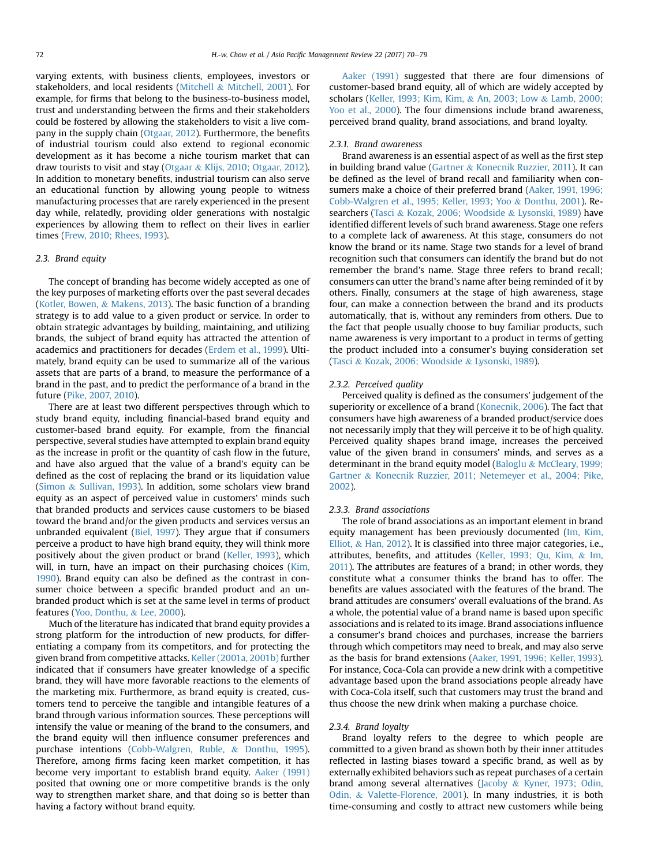varying extents, with business clients, employees, investors or stakeholders, and local residents (Mitchell & Mitchell, 2001). For example, for firms that belong to the business-to-business model, trust and understanding between the firms and their stakeholders could be fostered by allowing the stakeholders to visit a live company in the supply chain (Otgaar, 2012). Furthermore, the benefits of industrial tourism could also extend to regional economic development as it has become a niche tourism market that can draw tourists to visit and stay (Otgaar & Klijs, 2010; Otgaar, 2012). In addition to monetary benefits, industrial tourism can also serve an educational function by allowing young people to witness manufacturing processes that are rarely experienced in the present day while, relatedly, providing older generations with nostalgic experiences by allowing them to reflect on their lives in earlier times (Frew, 2010; Rhees, 1993).

#### 2.3. Brand equity

The concept of branding has become widely accepted as one of the key purposes of marketing efforts over the past several decades (Kotler, Bowen, & Makens, 2013). The basic function of a branding strategy is to add value to a given product or service. In order to obtain strategic advantages by building, maintaining, and utilizing brands, the subject of brand equity has attracted the attention of academics and practitioners for decades (Erdem et al., 1999). Ultimately, brand equity can be used to summarize all of the various assets that are parts of a brand, to measure the performance of a brand in the past, and to predict the performance of a brand in the future (Pike, 2007, 2010).

There are at least two different perspectives through which to study brand equity, including financial-based brand equity and customer-based brand equity. For example, from the financial perspective, several studies have attempted to explain brand equity as the increase in profit or the quantity of cash flow in the future, and have also argued that the value of a brand's equity can be defined as the cost of replacing the brand or its liquidation value (Simon & Sullivan, 1993). In addition, some scholars view brand equity as an aspect of perceived value in customers' minds such that branded products and services cause customers to be biased toward the brand and/or the given products and services versus an unbranded equivalent (Biel, 1997). They argue that if consumers perceive a product to have high brand equity, they will think more positively about the given product or brand (Keller, 1993), which will, in turn, have an impact on their purchasing choices (Kim, 1990). Brand equity can also be defined as the contrast in consumer choice between a specific branded product and an unbranded product which is set at the same level in terms of product features (Yoo, Donthu, & Lee, 2000).

Much of the literature has indicated that brand equity provides a strong platform for the introduction of new products, for differentiating a company from its competitors, and for protecting the given brand from competitive attacks. Keller (2001a, 2001b) further indicated that if consumers have greater knowledge of a specific brand, they will have more favorable reactions to the elements of the marketing mix. Furthermore, as brand equity is created, customers tend to perceive the tangible and intangible features of a brand through various information sources. These perceptions will intensify the value or meaning of the brand to the consumers, and the brand equity will then influence consumer preferences and purchase intentions (Cobb-Walgren, Ruble, & Donthu, 1995). Therefore, among firms facing keen market competition, it has become very important to establish brand equity. Aaker (1991) posited that owning one or more competitive brands is the only way to strengthen market share, and that doing so is better than having a factory without brand equity.

Aaker (1991) suggested that there are four dimensions of customer-based brand equity, all of which are widely accepted by scholars (Keller, 1993; Kim, Kim, & An, 2003; Low & Lamb, 2000; Yoo et al., 2000). The four dimensions include brand awareness, perceived brand quality, brand associations, and brand loyalty.

#### 2.3.1. Brand awareness

Brand awareness is an essential aspect of as well as the first step in building brand value (Gartner & Konecnik Ruzzier, 2011). It can be defined as the level of brand recall and familiarity when consumers make a choice of their preferred brand (Aaker, 1991, 1996; Cobb-Walgren et al., 1995; Keller, 1993; Yoo & Donthu, 2001). Researchers (Tasci & Kozak, 2006; Woodside & Lysonski, 1989) have identified different levels of such brand awareness. Stage one refers to a complete lack of awareness. At this stage, consumers do not know the brand or its name. Stage two stands for a level of brand recognition such that consumers can identify the brand but do not remember the brand's name. Stage three refers to brand recall; consumers can utter the brand's name after being reminded of it by others. Finally, consumers at the stage of high awareness, stage four, can make a connection between the brand and its products automatically, that is, without any reminders from others. Due to the fact that people usually choose to buy familiar products, such name awareness is very important to a product in terms of getting the product included into a consumer's buying consideration set (Tasci & Kozak, 2006; Woodside & Lysonski, 1989).

#### 2.3.2. Perceived quality

Perceived quality is defined as the consumers' judgement of the superiority or excellence of a brand (Konecnik, 2006). The fact that consumers have high awareness of a branded product/service does not necessarily imply that they will perceive it to be of high quality. Perceived quality shapes brand image, increases the perceived value of the given brand in consumers' minds, and serves as a determinant in the brand equity model (Baloglu & McCleary, 1999; Gartner & Konecnik Ruzzier, 2011; Netemeyer et al., 2004; Pike, 2002).

#### 2.3.3. Brand associations

The role of brand associations as an important element in brand equity management has been previously documented (Im, Kim, Elliot, & Han, 2012). It is classified into three major categories, i.e., attributes, benefits, and attitudes (Keller, 1993; Qu, Kim, & Im, 2011). The attributes are features of a brand; in other words, they constitute what a consumer thinks the brand has to offer. The benefits are values associated with the features of the brand. The brand attitudes are consumers' overall evaluations of the brand. As a whole, the potential value of a brand name is based upon specific associations and is related to its image. Brand associations influence a consumer's brand choices and purchases, increase the barriers through which competitors may need to break, and may also serve as the basis for brand extensions (Aaker, 1991, 1996; Keller, 1993). For instance, Coca-Cola can provide a new drink with a competitive advantage based upon the brand associations people already have with Coca-Cola itself, such that customers may trust the brand and thus choose the new drink when making a purchase choice.

#### 2.3.4. Brand loyalty

Brand loyalty refers to the degree to which people are committed to a given brand as shown both by their inner attitudes reflected in lasting biases toward a specific brand, as well as by externally exhibited behaviors such as repeat purchases of a certain brand among several alternatives (Jacoby & Kyner, 1973; Odin, Odin, & Valette-Florence, 2001). In many industries, it is both time-consuming and costly to attract new customers while being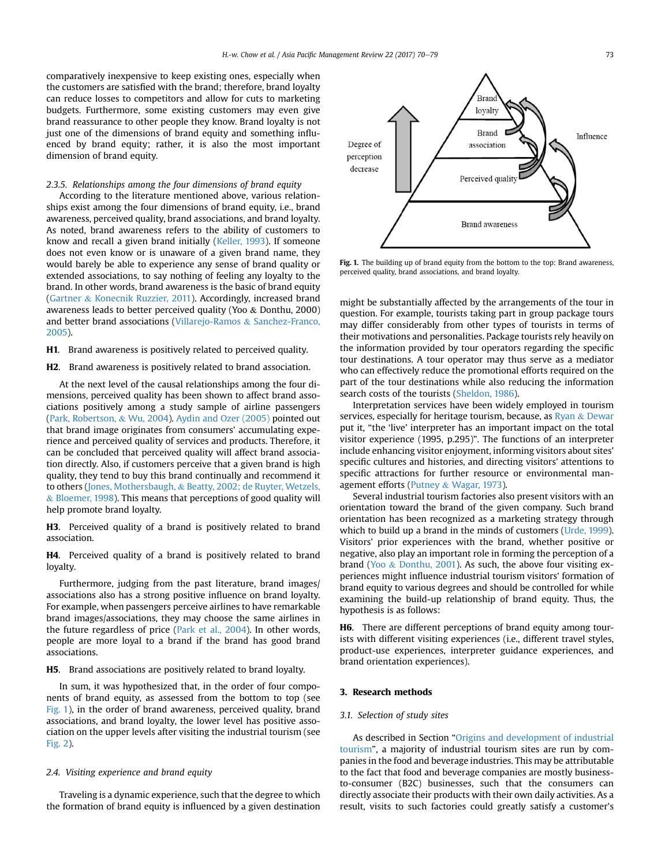comparatively inexpensive to keep existing ones, especially when the customers are satisfied with the brand; therefore, brand loyalty can reduce losses to competitors and allow for cuts to marketing budgets. Furthermore, some existing customers may even give brand reassurance to other people they know. Brand loyalty is not just one of the dimensions of brand equity and something influenced by brand equity; rather, it is also the most important dimension of brand equity.

## 2.3.5. Relationships among the four dimensions of brand equity

According to the literature mentioned above, various relationships exist among the four dimensions of brand equity, i.e., brand awareness, perceived quality, brand associations, and brand loyalty. As noted, brand awareness refers to the ability of customers to know and recall a given brand initially (Keller, 1993). If someone does not even know or is unaware of a given brand name, they would barely be able to experience any sense of brand quality or extended associations, to say nothing of feeling any loyalty to the brand. In other words, brand awareness is the basic of brand equity (Gartner & Konecnik Ruzzier, 2011). Accordingly, increased brand awareness leads to better perceived quality (Yoo & Donthu, 2000) and better brand associations (Villarejo-Ramos & Sanchez-Franco, 2005).

H1. Brand awareness is positively related to perceived quality.

H2. Brand awareness is positively related to brand association.

At the next level of the causal relationships among the four dimensions, perceived quality has been shown to affect brand associations positively among a study sample of airline passengers (Park, Robertson, & Wu, 2004). Aydin and Ozer (2005) pointed out that brand image originates from consumers' accumulating experience and perceived quality of services and products. Therefore, it can be concluded that perceived quality will affect brand association directly. Also, if customers perceive that a given brand is high quality, they tend to buy this brand continually and recommend it to others (Jones, Mothersbaugh, & Beatty, 2002; de Ruyter, Wetzels, & Bloemer, 1998). This means that perceptions of good quality will help promote brand loyalty.

H3. Perceived quality of a brand is positively related to brand association.

H4. Perceived quality of a brand is positively related to brand loyalty.

Furthermore, judging from the past literature, brand images/ associations also has a strong positive influence on brand loyalty. For example, when passengers perceive airlines to have remarkable brand images/associations, they may choose the same airlines in the future regardless of price (Park et al., 2004). In other words, people are more loyal to a brand if the brand has good brand associations.

H5. Brand associations are positively related to brand loyalty.

In sum, it was hypothesized that, in the order of four components of brand equity, as assessed from the bottom to top (see Fig. 1), in the order of brand awareness, perceived quality, brand associations, and brand loyalty, the lower level has positive association on the upper levels after visiting the industrial tourism (see Fig. 2).

## 2.4. Visiting experience and brand equity

Traveling is a dynamic experience, such that the degree to which the formation of brand equity is influenced by a given destination



Fig. 1. The building up of brand equity from the bottom to the top: Brand awareness, perceived quality, brand associations, and brand loyalty.

might be substantially affected by the arrangements of the tour in question. For example, tourists taking part in group package tours may differ considerably from other types of tourists in terms of their motivations and personalities. Package tourists rely heavily on the information provided by tour operators regarding the specific tour destinations. A tour operator may thus serve as a mediator who can effectively reduce the promotional efforts required on the part of the tour destinations while also reducing the information search costs of the tourists (Sheldon, 1986).

Interpretation services have been widely employed in tourism services, especially for heritage tourism, because, as  $R$  yan  $\&$  Dewar put it, "the 'live' interpreter has an important impact on the total visitor experience (1995, p.295)". The functions of an interpreter include enhancing visitor enjoyment, informing visitors about sites' specific cultures and histories, and directing visitors' attentions to specific attractions for further resource or environmental management efforts (Putney & Wagar, 1973).

Several industrial tourism factories also present visitors with an orientation toward the brand of the given company. Such brand orientation has been recognized as a marketing strategy through which to build up a brand in the minds of customers (Urde, 1999). Visitors' prior experiences with the brand, whether positive or negative, also play an important role in forming the perception of a brand (Yoo & Donthu, 2001). As such, the above four visiting experiences might influence industrial tourism visitors' formation of brand equity to various degrees and should be controlled for while examining the build-up relationship of brand equity. Thus, the hypothesis is as follows:

H6. There are different perceptions of brand equity among tourists with different visiting experiences (i.e., different travel styles, product-use experiences, interpreter guidance experiences, and brand orientation experiences).

## 3. Research methods

## 3.1. Selection of study sites

As described in Section "Origins and development of industrial tourism", a majority of industrial tourism sites are run by companies in the food and beverage industries. This may be attributable to the fact that food and beverage companies are mostly businessto-consumer (B2C) businesses, such that the consumers can directly associate their products with their own daily activities. As a result, visits to such factories could greatly satisfy a customer's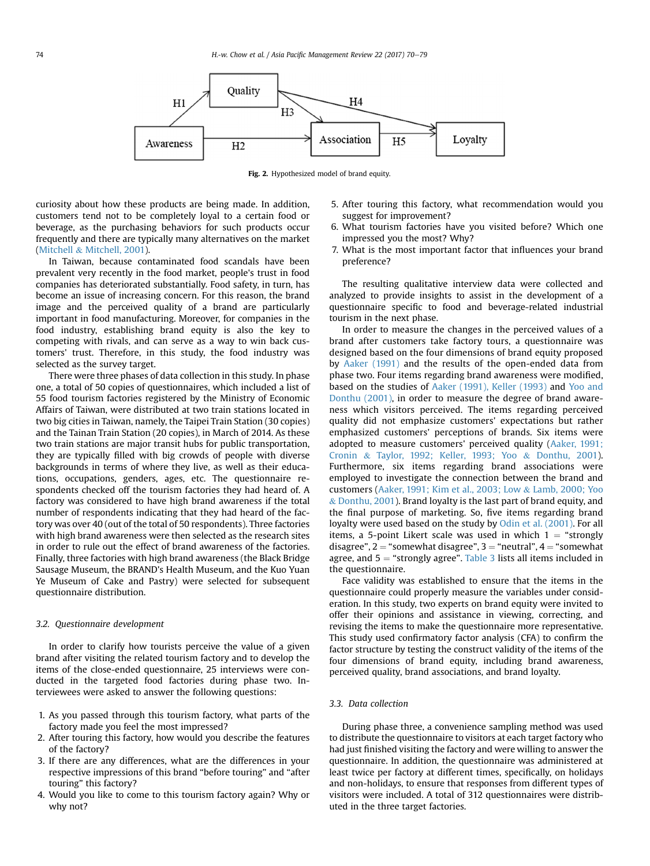

Fig. 2. Hypothesized model of brand equity.

curiosity about how these products are being made. In addition, customers tend not to be completely loyal to a certain food or beverage, as the purchasing behaviors for such products occur frequently and there are typically many alternatives on the market (Mitchell & Mitchell, 2001).

In Taiwan, because contaminated food scandals have been prevalent very recently in the food market, people's trust in food companies has deteriorated substantially. Food safety, in turn, has become an issue of increasing concern. For this reason, the brand image and the perceived quality of a brand are particularly important in food manufacturing. Moreover, for companies in the food industry, establishing brand equity is also the key to competing with rivals, and can serve as a way to win back customers' trust. Therefore, in this study, the food industry was selected as the survey target.

There were three phases of data collection in this study. In phase one, a total of 50 copies of questionnaires, which included a list of 55 food tourism factories registered by the Ministry of Economic Affairs of Taiwan, were distributed at two train stations located in two big cities in Taiwan, namely, the Taipei Train Station (30 copies) and the Tainan Train Station (20 copies), in March of 2014. As these two train stations are major transit hubs for public transportation, they are typically filled with big crowds of people with diverse backgrounds in terms of where they live, as well as their educations, occupations, genders, ages, etc. The questionnaire respondents checked off the tourism factories they had heard of. A factory was considered to have high brand awareness if the total number of respondents indicating that they had heard of the factory was over 40 (out of the total of 50 respondents). Three factories with high brand awareness were then selected as the research sites in order to rule out the effect of brand awareness of the factories. Finally, three factories with high brand awareness (the Black Bridge Sausage Museum, the BRAND's Health Museum, and the Kuo Yuan Ye Museum of Cake and Pastry) were selected for subsequent questionnaire distribution.

#### 3.2. Questionnaire development

In order to clarify how tourists perceive the value of a given brand after visiting the related tourism factory and to develop the items of the close-ended questionnaire, 25 interviews were conducted in the targeted food factories during phase two. Interviewees were asked to answer the following questions:

- 1. As you passed through this tourism factory, what parts of the factory made you feel the most impressed?
- 2. After touring this factory, how would you describe the features of the factory?
- 3. If there are any differences, what are the differences in your respective impressions of this brand "before touring" and "after touring" this factory?
- 4. Would you like to come to this tourism factory again? Why or why not?
- 5. After touring this factory, what recommendation would you suggest for improvement?
- 6. What tourism factories have you visited before? Which one impressed you the most? Why?
- 7. What is the most important factor that influences your brand preference?

The resulting qualitative interview data were collected and analyzed to provide insights to assist in the development of a questionnaire specific to food and beverage-related industrial tourism in the next phase.

In order to measure the changes in the perceived values of a brand after customers take factory tours, a questionnaire was designed based on the four dimensions of brand equity proposed by Aaker (1991) and the results of the open-ended data from phase two. Four items regarding brand awareness were modified, based on the studies of Aaker (1991), Keller (1993) and Yoo and Donthu (2001), in order to measure the degree of brand awareness which visitors perceived. The items regarding perceived quality did not emphasize customers' expectations but rather emphasized customers' perceptions of brands. Six items were adopted to measure customers' perceived quality (Aaker, 1991; Cronin & Taylor, 1992; Keller, 1993; Yoo & Donthu, 2001). Furthermore, six items regarding brand associations were employed to investigate the connection between the brand and customers (Aaker, 1991; Kim et al., 2003; Low & Lamb, 2000; Yoo & Donthu, 2001). Brand loyalty is the last part of brand equity, and the final purpose of marketing. So, five items regarding brand loyalty were used based on the study by Odin et al. (2001). For all items, a 5-point Likert scale was used in which  $1 =$  "strongly disagree",  $2 =$  "somewhat disagree",  $3 =$  "neutral",  $4 =$  "somewhat agree, and  $5 =$  "strongly agree". Table 3 lists all items included in the questionnaire.

Face validity was established to ensure that the items in the questionnaire could properly measure the variables under consideration. In this study, two experts on brand equity were invited to offer their opinions and assistance in viewing, correcting, and revising the items to make the questionnaire more representative. This study used confirmatory factor analysis (CFA) to confirm the factor structure by testing the construct validity of the items of the four dimensions of brand equity, including brand awareness, perceived quality, brand associations, and brand loyalty.

## 3.3. Data collection

During phase three, a convenience sampling method was used to distribute the questionnaire to visitors at each target factory who had just finished visiting the factory and were willing to answer the questionnaire. In addition, the questionnaire was administered at least twice per factory at different times, specifically, on holidays and non-holidays, to ensure that responses from different types of visitors were included. A total of 312 questionnaires were distributed in the three target factories.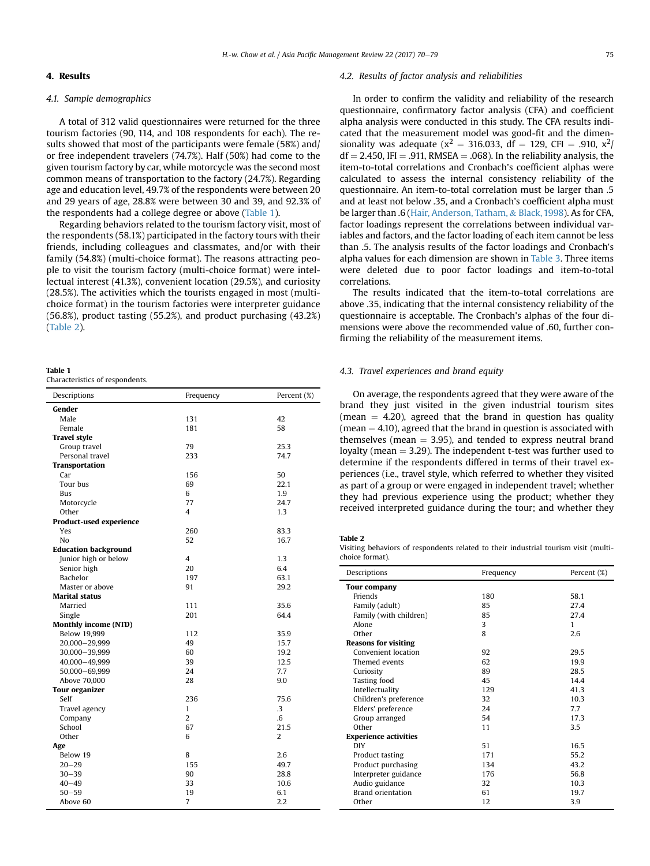## 4. Results

## 4.1. Sample demographics

A total of 312 valid questionnaires were returned for the three tourism factories (90, 114, and 108 respondents for each). The results showed that most of the participants were female (58%) and/ or free independent travelers (74.7%). Half (50%) had come to the given tourism factory by car, while motorcycle was the second most common means of transportation to the factory (24.7%). Regarding age and education level, 49.7% of the respondents were between 20 and 29 years of age, 28.8% were between 30 and 39, and 92.3% of the respondents had a college degree or above (Table 1).

Regarding behaviors related to the tourism factory visit, most of the respondents (58.1%) participated in the factory tours with their friends, including colleagues and classmates, and/or with their family (54.8%) (multi-choice format). The reasons attracting people to visit the tourism factory (multi-choice format) were intellectual interest (41.3%), convenient location (29.5%), and curiosity (28.5%). The activities which the tourists engaged in most (multichoice format) in the tourism factories were interpreter guidance (56.8%), product tasting (55.2%), and product purchasing (43.2%) (Table 2).

Table 1

Characteristics of respondents.

| Descriptions                | Frequency      | Percent (%)    |
|-----------------------------|----------------|----------------|
| Gender                      |                |                |
| Male                        | 131            | 42             |
| Female                      | 181            | 58             |
| <b>Travel style</b>         |                |                |
| Group travel                | 79             | 25.3           |
| Personal travel             | 233            | 74.7           |
| <b>Transportation</b>       |                |                |
| Car                         | 156            | 50             |
| Tour bus                    | 69             | 22.1           |
| Bus                         | 6              | 1.9            |
| Motorcycle                  | 77             | 24.7           |
| Other                       | $\overline{4}$ | 1.3            |
| Product-used experience     |                |                |
| Yes                         | 260            | 83.3           |
| No                          | 52             | 16.7           |
| <b>Education background</b> |                |                |
| Junior high or below        | $\overline{4}$ | 1.3            |
| Senior high                 | 20             | 6.4            |
| Bachelor                    | 197            | 63.1           |
| Master or above             | 91             | 29.2           |
| <b>Marital status</b>       |                |                |
| Married                     | 111            | 35.6           |
| Single                      | 201            | 64.4           |
| Monthly income (NTD)        |                |                |
| Below 19,999                | 112            | 35.9           |
| 20,000-29,999               | 49             | 15.7           |
| 30,000-39,999               | 60             | 19.2           |
| 40,000-49,999               | 39             | 12.5           |
| 50,000-69,999               | 24             | 7.7            |
| Above 70,000                | 28             | 9.0            |
| <b>Tour organizer</b>       |                |                |
| Self                        | 236            | 75.6           |
| Travel agency               | $\mathbf{1}$   | .3             |
| Company                     | $\overline{2}$ | .6             |
| School                      | 67             | 21.5           |
| Other                       | 6              | $\overline{2}$ |
| Age                         |                |                |
| Below 19                    | 8              | 2.6            |
| $20 - 29$                   | 155            | 49.7           |
| $30 - 39$                   | 90             | 28.8           |
| $40 - 49$                   | 33             | 10.6           |
| $50 - 59$                   | 19             | 6.1            |
| Above 60                    | $\overline{7}$ | 2.2            |

#### 4.2. Results of factor analysis and reliabilities

In order to confirm the validity and reliability of the research questionnaire, confirmatory factor analysis (CFA) and coefficient alpha analysis were conducted in this study. The CFA results indicated that the measurement model was good-fit and the dimensionality was adequate  $(x^2 = 316.033, df = 129, CFI = .910, x^2/$  $df = 2.450$ . IFI  $= .911$ . RMSEA  $= .068$ ). In the reliability analysis, the item-to-total correlations and Cronbach's coefficient alphas were calculated to assess the internal consistency reliability of the questionnaire. An item-to-total correlation must be larger than .5 and at least not below .35, and a Cronbach's coefficient alpha must be larger than .6 (Hair, Anderson, Tatham, & Black, 1998). As for CFA, factor loadings represent the correlations between individual variables and factors, and the factor loading of each item cannot be less than .5. The analysis results of the factor loadings and Cronbach's alpha values for each dimension are shown in Table 3. Three items were deleted due to poor factor loadings and item-to-total correlations.

The results indicated that the item-to-total correlations are above .35, indicating that the internal consistency reliability of the questionnaire is acceptable. The Cronbach's alphas of the four dimensions were above the recommended value of .60, further confirming the reliability of the measurement items.

#### 4.3. Travel experiences and brand equity

On average, the respondents agreed that they were aware of the brand they just visited in the given industrial tourism sites (mean  $=$  4.20), agreed that the brand in question has quality (mean  $=$  4.10), agreed that the brand in question is associated with themselves (mean  $=$  3.95), and tended to express neutral brand loyalty (mean  $=$  3.29). The independent t-test was further used to determine if the respondents differed in terms of their travel experiences (i.e., travel style, which referred to whether they visited as part of a group or were engaged in independent travel; whether they had previous experience using the product; whether they received interpreted guidance during the tour; and whether they

#### Table 2

Visiting behaviors of respondents related to their industrial tourism visit (multichoice format).

| Descriptions                 | Frequency | Percent (%) |  |  |
|------------------------------|-----------|-------------|--|--|
| <b>Tour company</b>          |           |             |  |  |
| Friends                      | 180       | 58.1        |  |  |
| Family (adult)               | 85        | 27.4        |  |  |
| Family (with children)       | 85        | 27.4        |  |  |
| Alone                        | 3         | 1           |  |  |
| Other                        | 8         | 2.6         |  |  |
| <b>Reasons for visiting</b>  |           |             |  |  |
| Convenient location          | 92        | 29.5        |  |  |
| Themed events                | 62        | 19.9        |  |  |
| Curiosity                    | 89        | 28.5        |  |  |
| <b>Tasting food</b>          | 45        | 14.4        |  |  |
| Intellectuality              | 129       | 41.3        |  |  |
| Children's preference        | 32        | 10.3        |  |  |
| Elders' preference           | 24        | 7.7         |  |  |
| Group arranged               | 54        | 17.3        |  |  |
| Other                        | 11        | 3.5         |  |  |
| <b>Experience activities</b> |           |             |  |  |
| <b>DIY</b>                   | 51        | 16.5        |  |  |
| Product tasting              | 171       | 55.2        |  |  |
| Product purchasing           | 134       | 43.2        |  |  |
| Interpreter guidance         | 176       | 56.8        |  |  |
| Audio guidance               | 32        | 10.3        |  |  |
| <b>Brand orientation</b>     | 61        | 19.7        |  |  |
| Other                        | 12        | 3.9         |  |  |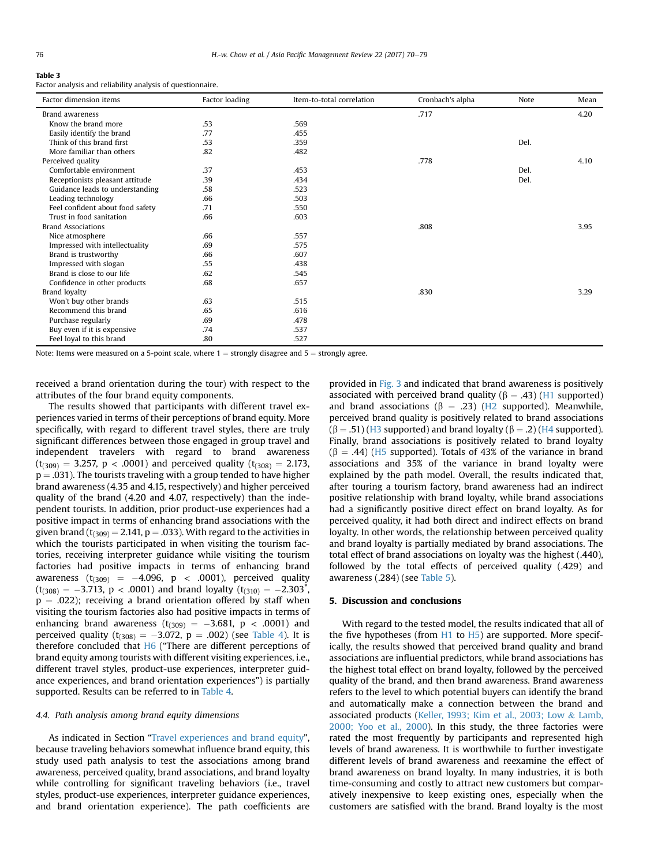#### Table 3

Factor analysis and reliability analysis of questionnaire.

| Factor dimension items           | Factor loading | Item-to-total correlation | Cronbach's alpha | Note | Mean |
|----------------------------------|----------------|---------------------------|------------------|------|------|
| <b>Brand awareness</b>           |                |                           | .717             |      | 4.20 |
| Know the brand more              | .53            | .569                      |                  |      |      |
| Easily identify the brand        | .77            | .455                      |                  |      |      |
| Think of this brand first        | .53            | .359                      |                  | Del. |      |
| More familiar than others        | .82            | .482                      |                  |      |      |
| Perceived quality                |                |                           | .778             |      | 4.10 |
| Comfortable environment          | .37            | .453                      |                  | Del. |      |
| Receptionists pleasant attitude  | .39            | .434                      |                  | Del. |      |
| Guidance leads to understanding  | .58            | .523                      |                  |      |      |
| Leading technology               | .66            | .503                      |                  |      |      |
| Feel confident about food safety | .71            | .550                      |                  |      |      |
| Trust in food sanitation         | .66            | .603                      |                  |      |      |
| <b>Brand Associations</b>        |                |                           | .808             |      | 3.95 |
| Nice atmosphere                  | .66            | .557                      |                  |      |      |
| Impressed with intellectuality   | .69            | .575                      |                  |      |      |
| Brand is trustworthy             | .66            | .607                      |                  |      |      |
| Impressed with slogan            | .55            | .438                      |                  |      |      |
| Brand is close to our life       | .62            | .545                      |                  |      |      |
| Confidence in other products     | .68            | .657                      |                  |      |      |
| Brand loyalty                    |                |                           | .830             |      | 3.29 |
| Won't buy other brands           | .63            | .515                      |                  |      |      |
| Recommend this brand             | .65            | .616                      |                  |      |      |
| Purchase regularly               | .69            | .478                      |                  |      |      |
| Buy even if it is expensive      | .74            | .537                      |                  |      |      |
| Feel loyal to this brand         | .80            | .527                      |                  |      |      |

Note: Items were measured on a 5-point scale, where  $1 =$  strongly disagree and  $5 =$  strongly agree.

received a brand orientation during the tour) with respect to the attributes of the four brand equity components.

The results showed that participants with different travel experiences varied in terms of their perceptions of brand equity. More specifically, with regard to different travel styles, there are truly significant differences between those engaged in group travel and independent travelers with regard to brand awareness  $(t<sub>(309)</sub> = 3.257, p < .0001)$  and perceived quality  $(t<sub>(308)</sub> = 2.173,$  $p = .031$ ). The tourists traveling with a group tended to have higher brand awareness (4.35 and 4.15, respectively) and higher perceived quality of the brand (4.20 and 4.07, respectively) than the independent tourists. In addition, prior product-use experiences had a positive impact in terms of enhancing brand associations with the given brand ( $t_{(309)} = 2.141$ , p = .033). With regard to the activities in which the tourists participated in when visiting the tourism factories, receiving interpreter guidance while visiting the tourism factories had positive impacts in terms of enhancing brand awareness (t $_{\left(309\right)}~=~-4.096,$  <code>p</code> < .0001), perceived quality  $(t_{(308)} = -3.713, p < .0001)$  and brand loyalty  $(t_{(310)} = -2.303^*$ ,  $p = .022$ ); receiving a brand orientation offered by staff when visiting the tourism factories also had positive impacts in terms of enhancing brand awareness  $(t_{(309)} = -3.681, p < .0001)$  and perceived quality  $(t_{(308)} = -3.072, p = .002)$  (see Table 4). It is therefore concluded that H6 ("There are different perceptions of brand equity among tourists with different visiting experiences, i.e., different travel styles, product-use experiences, interpreter guidance experiences, and brand orientation experiences") is partially supported. Results can be referred to in Table 4.

## 4.4. Path analysis among brand equity dimensions

As indicated in Section "Travel experiences and brand equity", because traveling behaviors somewhat influence brand equity, this study used path analysis to test the associations among brand awareness, perceived quality, brand associations, and brand loyalty while controlling for significant traveling behaviors (i.e., travel styles, product-use experiences, interpreter guidance experiences, and brand orientation experience). The path coefficients are provided in Fig. 3 and indicated that brand awareness is positively associated with perceived brand quality ( $\beta = .43$ ) (H1 supported) and brand associations ( $\beta$  = .23) (H2 supported). Meanwhile, perceived brand quality is positively related to brand associations  $(\beta = .51)$  (H3 supported) and brand loyalty ( $\beta = .2$ ) (H4 supported). Finally, brand associations is positively related to brand loyalty  $(\beta = .44)$  (H5 supported). Totals of 43% of the variance in brand associations and 35% of the variance in brand loyalty were explained by the path model. Overall, the results indicated that, after touring a tourism factory, brand awareness had an indirect positive relationship with brand loyalty, while brand associations had a significantly positive direct effect on brand loyalty. As for perceived quality, it had both direct and indirect effects on brand loyalty. In other words, the relationship between perceived quality and brand loyalty is partially mediated by brand associations. The total effect of brand associations on loyalty was the highest (.440), followed by the total effects of perceived quality (.429) and awareness (.284) (see Table 5).

## 5. Discussion and conclusions

With regard to the tested model, the results indicated that all of the five hypotheses (from  $H1$  to  $H5$ ) are supported. More specifically, the results showed that perceived brand quality and brand associations are influential predictors, while brand associations has the highest total effect on brand loyalty, followed by the perceived quality of the brand, and then brand awareness. Brand awareness refers to the level to which potential buyers can identify the brand and automatically make a connection between the brand and associated products (Keller, 1993; Kim et al., 2003; Low & Lamb, 2000; Yoo et al., 2000). In this study, the three factories were rated the most frequently by participants and represented high levels of brand awareness. It is worthwhile to further investigate different levels of brand awareness and reexamine the effect of brand awareness on brand loyalty. In many industries, it is both time-consuming and costly to attract new customers but comparatively inexpensive to keep existing ones, especially when the customers are satisfied with the brand. Brand loyalty is the most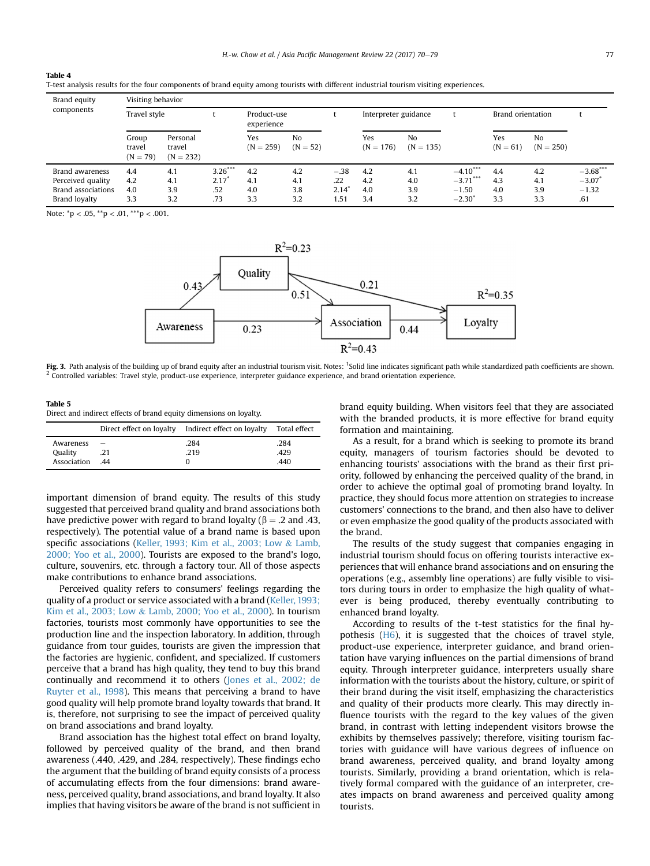| Table 4                                                                                                                                |
|----------------------------------------------------------------------------------------------------------------------------------------|
| T-test analysis results for the four components of brand equity among tourists with different industrial tourism visiting experiences. |
|                                                                                                                                        |

| Brand equity<br>components | Visiting behavior             |                                   |           |                           |                  |        |                      |                   |            |                   |                   |                      |
|----------------------------|-------------------------------|-----------------------------------|-----------|---------------------------|------------------|--------|----------------------|-------------------|------------|-------------------|-------------------|----------------------|
|                            | Travel style                  |                                   |           | Product-use<br>experience |                  |        | Interpreter guidance |                   |            | Brand orientation |                   |                      |
|                            | Group<br>travel<br>$(N = 79)$ | Personal<br>travel<br>$(N = 232)$ |           | Yes<br>$(N = 259)$        | No<br>$(N = 52)$ |        | Yes<br>$(N = 176)$   | No<br>$(N = 135)$ |            | Yes<br>$(N = 61)$ | No<br>$(N = 250)$ |                      |
| Brand awareness            | 4.4                           | 4.1                               | $3.26***$ | 4.2                       | 4.2              | $-.38$ | 4.2                  | 4.1               | $-4.10***$ | 4.4               | 4.2               | $-3.68***$           |
| Perceived quality          | 4.2                           | 4.1                               | 2.17      | 4.1                       | 4.1              | .22    | 4.2                  | 4.0               | $-3.71***$ | 4.3               | 4.1               | $-3.07$ <sup>*</sup> |
| Brand associations         | 4.0                           | 3.9                               | .52       | 4.0                       | 3.8              | 2.14   | 4.0                  | 3.9               | $-1.50$    | 4.0               | 3.9               | $-1.32$              |
| Brand loyalty              | 3.3                           | 3.2                               | .73       | 3.3                       | 3.2              | 1.51   | 3.4                  | 3.2               | $-2.30'$   | 3.3               | 3.3               | .61                  |

Note:  ${}^*p$  < .05,  ${}^{**}p$  < .01,  ${}^{***}p$  < .001.



Fig. 3. Path analysis of the building up of brand equity after an industrial tourism visit. Notes: <sup>1</sup>Solid line indicates significant path while standardized path coefficients are shown. <sup>2</sup> Controlled variables: Travel style, product-use experience, interpreter guidance experience, and brand orientation experience.

Table 5 Direct and indirect effects of brand equity dimensions on loyalty.

|                      |                                 | Direct effect on loyalty Indirect effect on loyalty | Total effect |
|----------------------|---------------------------------|-----------------------------------------------------|--------------|
| Awareness<br>Quality | $\overline{\phantom{a}}$<br>.21 | .284<br>.219                                        | .284<br>.429 |
| Association          | - 44                            |                                                     | .440         |

important dimension of brand equity. The results of this study suggested that perceived brand quality and brand associations both have predictive power with regard to brand loyalty ( $\beta = .2$  and .43, respectively). The potential value of a brand name is based upon specific associations (Keller, 1993; Kim et al., 2003; Low & Lamb, 2000; Yoo et al., 2000). Tourists are exposed to the brand's logo, culture, souvenirs, etc. through a factory tour. All of those aspects make contributions to enhance brand associations.

Perceived quality refers to consumers' feelings regarding the quality of a product or service associated with a brand (Keller, 1993; Kim et al., 2003; Low & Lamb, 2000; Yoo et al., 2000). In tourism factories, tourists most commonly have opportunities to see the production line and the inspection laboratory. In addition, through guidance from tour guides, tourists are given the impression that the factories are hygienic, confident, and specialized. If customers perceive that a brand has high quality, they tend to buy this brand continually and recommend it to others (Jones et al., 2002; de Ruyter et al., 1998). This means that perceiving a brand to have good quality will help promote brand loyalty towards that brand. It is, therefore, not surprising to see the impact of perceived quality on brand associations and brand loyalty.

Brand association has the highest total effect on brand loyalty, followed by perceived quality of the brand, and then brand awareness (.440, .429, and .284, respectively). These findings echo the argument that the building of brand equity consists of a process of accumulating effects from the four dimensions: brand awareness, perceived quality, brand associations, and brand loyalty. It also implies that having visitors be aware of the brand is not sufficient in brand equity building. When visitors feel that they are associated with the branded products, it is more effective for brand equity formation and maintaining.

As a result, for a brand which is seeking to promote its brand equity, managers of tourism factories should be devoted to enhancing tourists' associations with the brand as their first priority, followed by enhancing the perceived quality of the brand, in order to achieve the optimal goal of promoting brand loyalty. In practice, they should focus more attention on strategies to increase customers' connections to the brand, and then also have to deliver or even emphasize the good quality of the products associated with the brand.

The results of the study suggest that companies engaging in industrial tourism should focus on offering tourists interactive experiences that will enhance brand associations and on ensuring the operations (e.g., assembly line operations) are fully visible to visitors during tours in order to emphasize the high quality of whatever is being produced, thereby eventually contributing to enhanced brand loyalty.

According to results of the t-test statistics for the final hypothesis (H6), it is suggested that the choices of travel style, product-use experience, interpreter guidance, and brand orientation have varying influences on the partial dimensions of brand equity. Through interpreter guidance, interpreters usually share information with the tourists about the history, culture, or spirit of their brand during the visit itself, emphasizing the characteristics and quality of their products more clearly. This may directly influence tourists with the regard to the key values of the given brand, in contrast with letting independent visitors browse the exhibits by themselves passively; therefore, visiting tourism factories with guidance will have various degrees of influence on brand awareness, perceived quality, and brand loyalty among tourists. Similarly, providing a brand orientation, which is relatively formal compared with the guidance of an interpreter, creates impacts on brand awareness and perceived quality among tourists.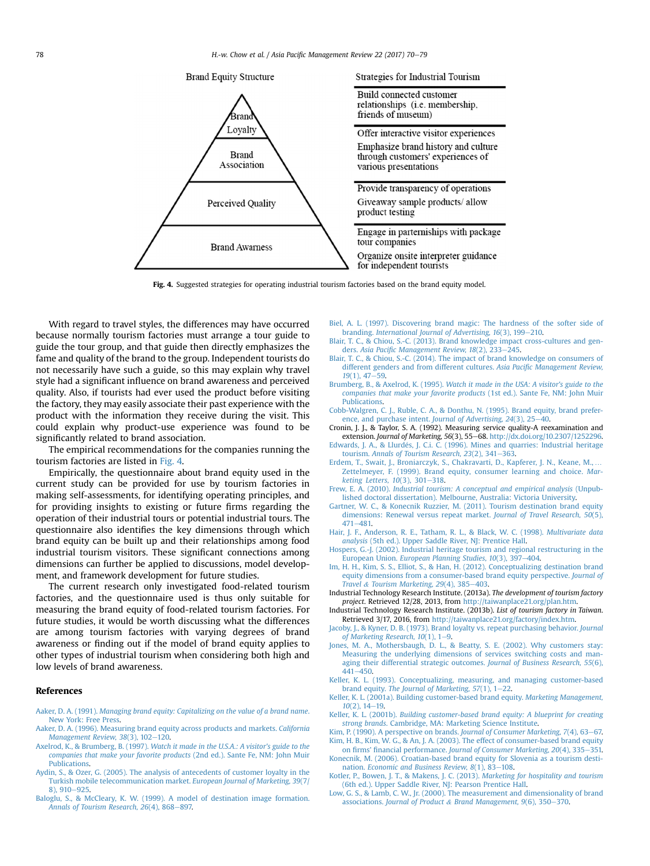

Fig. 4. Suggested strategies for operating industrial tourism factories based on the brand equity model.

With regard to travel styles, the differences may have occurred because normally tourism factories must arrange a tour guide to guide the tour group, and that guide then directly emphasizes the fame and quality of the brand to the group. Independent tourists do not necessarily have such a guide, so this may explain why travel style had a significant influence on brand awareness and perceived quality. Also, if tourists had ever used the product before visiting the factory, they may easily associate their past experience with the product with the information they receive during the visit. This could explain why product-use experience was found to be significantly related to brand association.

The empirical recommendations for the companies running the tourism factories are listed in Fig. 4.

Empirically, the questionnaire about brand equity used in the current study can be provided for use by tourism factories in making self-assessments, for identifying operating principles, and for providing insights to existing or future firms regarding the operation of their industrial tours or potential industrial tours. The questionnaire also identifies the key dimensions through which brand equity can be built up and their relationships among food industrial tourism visitors. These significant connections among dimensions can further be applied to discussions, model development, and framework development for future studies.

The current research only investigated food-related tourism factories, and the questionnaire used is thus only suitable for measuring the brand equity of food-related tourism factories. For future studies, it would be worth discussing what the differences are among tourism factories with varying degrees of brand awareness or finding out if the model of brand equity applies to other types of industrial tourism when considering both high and low levels of brand awareness.

## References

- Aaker, D. A. (1991). Managing brand equity: Capitalizing on the value of a brand name. New York: Free Press.
- Aaker, D. A. (1996). Measuring brand equity across products and markets. California Management Review, 38(3), 102-120.
- Axelrod, K., & Brumberg, B. (1997). Watch it made in the U.S.A.: A visitor's guide to the companies that make your favorite products (2nd ed.). Sante Fe, NM: John Muir Publications.
- Aydin, S., & Ozer, G. (2005). The analysis of antecedents of customer loyalty in the Turkish mobile telecommunication market. European Journal of Marketing, 39(7/  $8)$ , 910-925.
- Baloglu, S., & McCleary, K. W. (1999). A model of destination image formation. Annals of Tourism Research, 26(4), 868-897.
- Biel, A. L. (1997). Discovering brand magic: The hardness of the softer side of branding. International Journal of Advertising, 16(3), 199-210.
- Blair, T. C., & Chiou, S.-C. (2013). Brand knowledge impact cross-cultures and genders. Asia Pacific Management Review,  $18(2)$ ,  $233-245$ .
- Blair, T. C., & Chiou, S.-C. (2014). The impact of brand knowledge on consumers of different genders and from different cultures. Asia Pacific Management Review,  $19(1)$ ,  $47-59$ .
- Brumberg, B., & Axelrod, K. (1995). Watch it made in the USA: A visitor's guide to the companies that make your favorite products (1st ed.). Sante Fe, NM: John Muir Publications.
- Cobb-Walgren, C. J., Ruble, C. A., & Donthu, N. (1995). Brand equity, brand preference, and purchase intent. Journal of Advertising,  $24(3)$ ,  $25-40$ .
- Cronin, J. J., & Taylor, S. A. (1992). Measuring service quality-A reexamination and extension. Journal of Marketing, 56(3), 55-68. http://dx.doi.org/10.2307/1252296.
- Edwards, J. A., & Llurdés, J. C.i. C. (1996). Mines and quarries: Industrial heritage tourism. Annals of Tourism Research, 23(2), 341–363. Erdem, T., Swait, J., Broniarczyk, S., Chakravarti, D., Kapferer, J. N., Keane, M., …
- Zettelmeyer, F. (1999). Brand equity, consumer learning and choice. Marketing Letters,  $10(3)$ ,  $301-318$ .
- Frew, E. A. (2010). Industrial tourism: A conceptual and empirical analysis (Unpublished doctoral dissertation). Melbourne, Australia: Victoria University.
- Gartner, W. C., & Konecnik Ruzzier, M. (2011). Tourism destination brand equity dimensions: Renewal versus repeat market. Journal of Travel Research, 50(5), 471-481.
- Hair, J. F., Anderson, R. E., Tatham, R. L., & Black, W. C. (1998). Multivariate data analysis (5th ed.). Upper Saddle River, NJ: Prentice Hall.
- Hospers, G.-J. (2002). Industrial heritage tourism and regional restructuring in the European Union. European Planning Studies, 10(3), 397-404.
- Im, H. H., Kim, S. S., Elliot, S., & Han, H. (2012). Conceptualizing destination brand equity dimensions from a consumer-based brand equity perspective. Journal of Travel & Tourism Marketing,  $29(4)$ ,  $385-403$ .
- Industrial Technology Research Institute. (2013a). The development of tourism factory project. Retrieved 12/28, 2013, from http://taiwanplace21.org/plan.htm.
- Industrial Technology Research Institute. (2013b). List of tourism factory in Taiwan. Retrieved 3/17, 2016, from http://taiwanplace21.org/factory/index.htm.
- Jacoby, J., & Kyner, D. B. (1973). Brand loyalty vs. repeat purchasing behavior. Journal of Marketing Research,  $10(1)$ ,  $1-9$ .
- Jones, M. A., Mothersbaugh, D. L., & Beatty, S. E. (2002). Why customers stay: Measuring the underlying dimensions of services switching costs and managing their differential strategic outcomes. Journal of Business Research, 55(6),  $441 - 450$ .
- Keller, K. L. (1993). Conceptualizing, measuring, and managing customer-based brand equity. The Journal of Marketing,  $57(1)$ ,  $1-22$ .
- Keller, K. L. (2001a). Building customer-based brand equity. Marketing Management,  $10(2)$ ,  $14-19$ .
- Keller, K. L. (2001b). Building customer-based brand equity: A blueprint for creating strong brands. Cambridge, MA: Marketing Science Institute.
- Kim, P. (1990). A perspective on brands. Journal of Consumer Marketing, 7(4), 63-67. Kim, H. B., Kim, W. G., & An, J. A. (2003). The effect of consumer-based brand equity
- on firms' financial performance. Journal of Consumer Marketing, 20(4), 335-351. Konecnik, M. (2006). Croatian-based brand equity for Slovenia as a tourism desti-
- nation. Economic and Business Review,  $8(1)$ ,  $83-108$ . Kotler, P., Bowen, J. T., & Makens, J. C. (2013). Marketing for hospitality and tourism (6th ed.). Upper Saddle River, NJ: Pearson Prentice Hall.
- Low, G. S., & Lamb, C. W., Jr. (2000). The measurement and dimensionality of brand associations. Journal of Product & Brand Management,  $9(6)$ ,  $350-370$ .